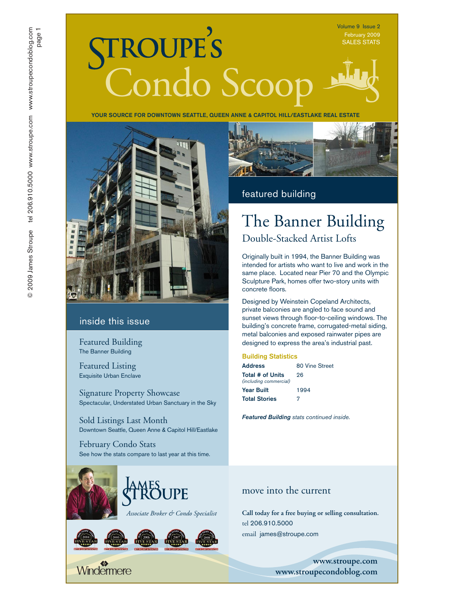Volume 9 Issue 2 SALES STATS

# TROUPE'S<br>Condo Scoop

YOUR SOURCE FOR DOWNTOWN SEATTLE, QUEEN ANNE & CAPITOL HILL/EASTLAKE REAL ESTATE



#### inside this issue

Featured Building The Banner Building

Featured Listing Exquisite Urban Enclave

Signature Property Showcase Spectacular, Understated Urban Sanctuary in the Sky

Sold Listings Last Month Downtown Seattle, Queen Anne & Capitol Hill/Eastlake

February Condo Stats See how the stats compare to last year at this time.



# PE













#### featured building

# The Banner Building

Double-Stacked Artist Lofts

Originally built in 1994, the Banner Building was intended for artists who want to live and work in the same place. Located near Pier 70 and the Olympic Sculpture Park, homes offer two-story units with concrete floors.

Designed by Weinstein Copeland Architects, private balconies are angled to face sound and sunset views through floor-to-ceiling windows. The building's concrete frame, corrugated-metal siding, metal balconies and exposed rainwater pipes are designed to express the area's industrial past.

#### Building Statistics

| Address                                    | 80 Vine Street |
|--------------------------------------------|----------------|
| Total # of Units<br>(including commercial) | 26             |
| Year Built                                 | 1994           |
| <b>Total Stories</b>                       | 7              |

*Featured Building stats continued inside.*

#### move into the current

*Associate Broker & Condo Specialist* **Call today for a free buying or selling consultation.**  tel 206.910.5000 email james@stroupe.com

> **www.stroupe.com www.stroupecondoblog.com**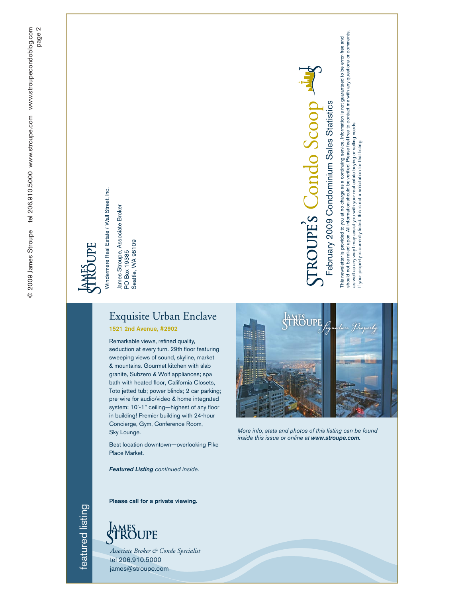Windermere Real Estate / Wall Street, Inc. Windermere Real Estate / Wall Street, Inc.

James Stroupe, Associate Broker<br>PO Box 19385<br>Seattle, WA 98109 James Stroupe, Associate Broker

PO Box 19385 Seattle, WA 98109

## Exquisite Urban Enclave

1521 2nd Avenue, #2902

Remarkable views, refined quality, seduction at every turn. 29th floor featuring sweeping views of sound, skyline, market & mountains. Gourmet kitchen with slab granite, Subzero & Wolf appliances; spa bath with heated floor, California Closets, Toto jetted tub; power blinds; 2 car parking; pre-wire for audio/video & home integrated system; 10'-1'' ceiling—highest of any floor in building! Premier building with 24-hour Concierge, Gym, Conference Room, Sky Lounge.

Best location downtown—overlooking Pike Place Market.

*Featured Listing continued inside.*



Condo Scoop

TROUPES Condo Scoop

February 2009 Condominium Sales Statistics

February 2009 Condominium Sales Statistics

This newsletter is provided to you at no charge as a continuing service. Information is not guaranteed to be error-free and should not be relied upon. All information should be verified. Please feel free to contact me with any questions or comments,

This newsletter is provided to you at no charge as a continuing service. Information is not guaranteed to be error-free and<br>should not be relied upon. All information should be verified. Please feel free to contact me with

as well as any way I may assist you with your real estate buying or selling needs. If your property is currently listed, this is not a solicitation for that listing.

as well as any way I may assist you with your real estate buying or selling needs.<br>If your property is currently listed, this is not a solicitation for that Isting.

*More info, stats and photos of this listing can be found inside this issue or online at www.stroupe.com.*

Please call for a private viewing.



*Associate Broker & Condo Specialist* tel 206.910.5000 james@stroupe.com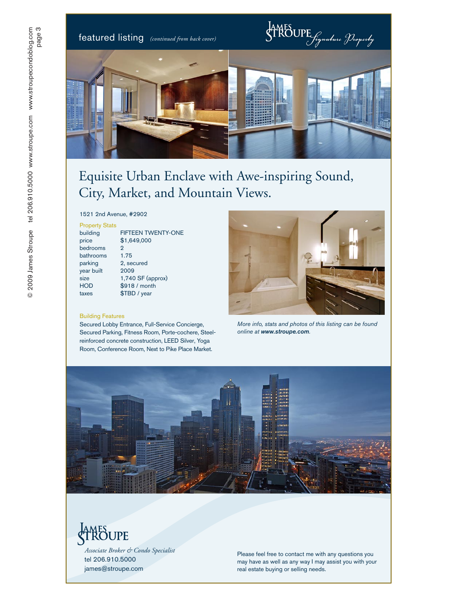featured listing *(continued from back cover)*



## Equisite Urban Enclave with Awe-inspiring Sound, City, Market, and Mountain Views.

1521 2nd Avenue, #2902

#### Property Stats

| building   | <b>FIFTEEN TWENTY-ONE</b> |
|------------|---------------------------|
| price      | \$1,649,000               |
| bedrooms   | 2                         |
| bathrooms  | 1.75                      |
| parking    | 2, secured                |
| year built | 2009                      |
| size       | $1,740$ SF (approx)       |
| <b>HOD</b> | \$918 / month             |
| taxes      | \$TBD / year              |
|            |                           |

#### Building Features

Secured Lobby Entrance, Full-Service Concierge, Secured Parking, Fitness Room, Porte-cochere, Steelreinforced concrete construction, LEED Silver, Yoga Room, Conference Room, Next to Pike Place Market.



*More info, stats and photos of this listing can be found online at www.stroupe.com .*



# **AMES**<br>TROUPE

*Associate Broker & Condo Specialist* tel 206.910.5000 james@stroupe.com

Please feel free to contact me with any questions you may have as well as any way I may assist you with your real estate buying or selling needs.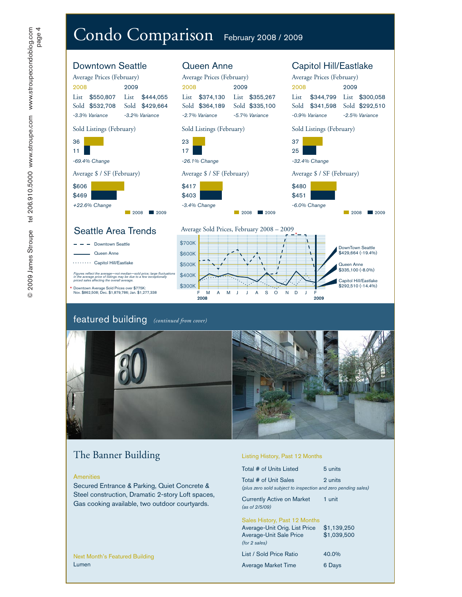

#### featured building *(continued from cover)*



## The Banner Building

#### **Amenities**

Secured Entrance & Parking, Quiet Concrete & Steel construction, Dramatic 2-story Loft spaces, Gas cooking available, two outdoor courtyards.

#### Listing History, Past 12 Months

| Total # of Units Listed                                                                | 5 units     |
|----------------------------------------------------------------------------------------|-------------|
| Total # of Unit Sales<br>(plus zero sold subject to inspection and zero pending sales) | 2 units     |
| Currently Active on Market<br>(as of 2/5/09)                                           | 1 unit      |
| Sales History, Past 12 Months                                                          |             |
| Average-Unit Orig. List Price                                                          | \$1.139.250 |
| <b>Average-Unit Sale Price</b>                                                         | \$1.039.500 |
| (for 2 sales)                                                                          |             |
| List / Sold Price Ratio                                                                | 40.0%       |
| <b>Average Market Time</b>                                                             | 6 Days      |

Next Month's Featured Building Lumen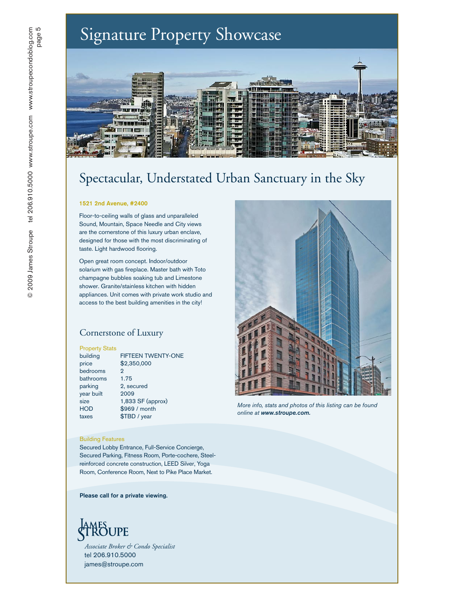## Signature Property Showcase



## Spectacular, Understated Urban Sanctuary in the Sky

#### 1521 2nd Avenue, #2400

Floor-to-ceiling walls of glass and unparalleled Sound, Mountain, Space Needle and City views are the cornerstone of this luxury urban enclave, designed for those with the most discriminating of taste. Light hardwood flooring.

Open great room concept. Indoor/outdoor solarium with gas fireplace. Master bath with Toto champagne bubbles soaking tub and Limestone shower. Granite/stainless kitchen with hidden appliances. Unit comes with private work studio and access to the best building amenities in the city!

#### Cornerstone of Luxury

#### Property Stats

| building   | <b>FIFTEEN TWENTY-ONE</b> |
|------------|---------------------------|
| price      | \$2,350,000               |
| bedrooms   | 2                         |
| bathrooms  | 1.75                      |
| parking    | 2, secured                |
| year built | 2009                      |
| size       | 1,833 SF (approx)         |
| <b>HOD</b> | \$969 / month             |
| taxes      | \$TBD / year              |

#### Building Features

Secured Lobby Entrance, Full-Service Concierge, Secured Parking, Fitness Room, Porte-cochere, Steelreinforced concrete construction, LEED Silver, Yoga Room, Conference Room, Next to Pike Place Market.

Please call for a private viewing.



*Associate Broker & Condo Specialist* tel 206.910.5000 james@stroupe.com



*More info, stats and photos of this listing can be found online at www.stroupe.com.*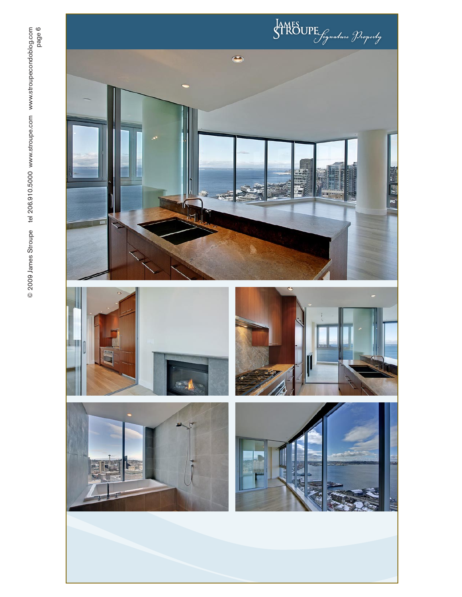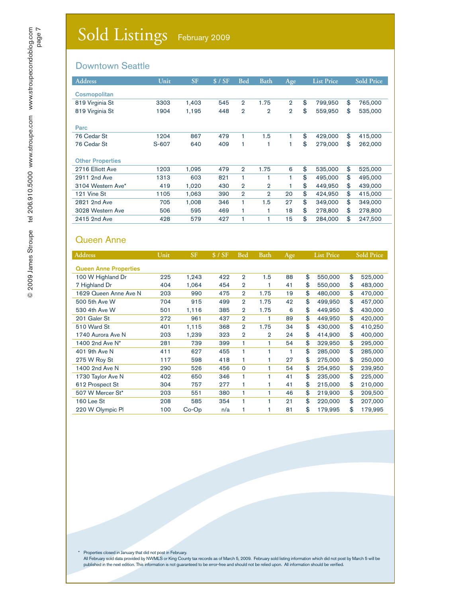#### Downtown Seattle

| <b>Address</b>          | Unit  | <b>SF</b> | \$/SF | <b>Bed</b>     | <b>Bath</b>    | Age            | <b>List Price</b> |    | <b>Sold Price</b> |  |
|-------------------------|-------|-----------|-------|----------------|----------------|----------------|-------------------|----|-------------------|--|
| <b>Cosmopolitan</b>     |       |           |       |                |                |                |                   |    |                   |  |
| 819 Virginia St         | 3303  | 1,403     | 545   | $\overline{2}$ | 1.75           | $\overline{2}$ | \$<br>799.950     | \$ | 765,000           |  |
| 819 Virginia St         | 1904  | 1.195     | 448   | $\overline{2}$ | $\overline{2}$ | $\overline{2}$ | \$<br>559,950     | \$ | 535,000           |  |
| Parc                    |       |           |       |                |                |                |                   |    |                   |  |
| 76 Cedar St             | 1204  | 867       | 479   | 1              | 1.5            |                | \$<br>429,000     | \$ | 415,000           |  |
| 76 Cedar St             | S-607 | 640       | 409   | 1              | 1              |                | \$<br>279,000     | \$ | 262,000           |  |
| <b>Other Properties</b> |       |           |       |                |                |                |                   |    |                   |  |
| 2716 Elliott Ave        | 1203  | 1,095     | 479   | $\overline{2}$ | 1.75           | 6              | \$<br>535,000     | \$ | 525,000           |  |
| 2911 2nd Ave            | 1313  | 603       | 821   | 1              |                |                | \$<br>495,000     | \$ | 495,000           |  |
| 3104 Western Ave*       | 419   | 1,020     | 430   | $\overline{2}$ | $\overline{2}$ |                | \$<br>449.950     | \$ | 439,000           |  |
| 121 Vine St             | 1105  | 1,063     | 390   | $\overline{2}$ | $\overline{2}$ | 20             | \$<br>424,950     | \$ | 415,000           |  |
| 2821 2nd Ave            | 705   | 1.008     | 346   | 1              | 1.5            | 27             | \$<br>349,000     | \$ | 349,000           |  |
| 3028 Western Ave        | 506   | 595       | 469   | 1              | 1              | 18             | \$<br>278,800     | \$ | 278,800           |  |
| 2415 2nd Ave            | 428   | 579       | 427   | 1              | 1              | 15             | \$<br>284.000     | \$ | 247.500           |  |

#### Queen Anne

| <b>Address</b>               | Unit | <b>SF</b> | \$/SF | <b>Bed</b>     | <b>Bath</b>    | Age | <b>List Price</b> |         | <b>Sold Price</b> |         |
|------------------------------|------|-----------|-------|----------------|----------------|-----|-------------------|---------|-------------------|---------|
| <b>Queen Anne Properties</b> |      |           |       |                |                |     |                   |         |                   |         |
| 100 W Highland Dr            | 225  | 1,243     | 422   | $\overline{2}$ | 1.5            | 88  | \$                | 550,000 | \$                | 525,000 |
|                              |      |           |       |                |                |     |                   |         |                   |         |
| 7 Highland Dr                | 404  | 1,064     | 454   | $\overline{2}$ | 1              | 41  | \$                | 550,000 | \$                | 483,000 |
| 1629 Queen Anne Ave N        | 203  | 990       | 475   | $\overline{2}$ | 1.75           | 19  | \$                | 480,000 | \$                | 470,000 |
| 500 5th Ave W                | 704  | 915       | 499   | $\overline{2}$ | 1.75           | 42  | \$                | 499,950 | \$                | 457,000 |
| 530 4th Ave W                | 501  | 1,116     | 385   | $\overline{2}$ | 1.75           | 6   | \$                | 449.950 | \$                | 430,000 |
| 201 Galer St                 | 272  | 961       | 437   | $\overline{2}$ | 1              | 89  | \$                | 449,950 | \$                | 420,000 |
| 510 Ward St                  | 401  | 1,115     | 368   | $\overline{2}$ | 1.75           | 34  | \$                | 430,000 | \$                | 410,250 |
| 1740 Aurora Ave N            | 203  | 1,239     | 323   | $\overline{2}$ | $\overline{2}$ | 24  | \$                | 414,900 | \$                | 400,000 |
| 1400 2nd Ave N*              | 281  | 739       | 399   | 1              | 1              | 54  | \$                | 329,950 | \$                | 295,000 |
| 401 9th Ave N                | 411  | 627       | 455   | 1              | 1              | 1   | \$                | 285,000 | \$                | 285,000 |
| 275 W Roy St                 | 117  | 598       | 418   | 1              | 1              | 27  | \$                | 275,000 | \$                | 250,000 |
| 1400 2nd Ave N               | 290  | 526       | 456   | $\Omega$       | 1              | 54  | \$                | 254,950 | \$                | 239,950 |
| 1730 Taylor Ave N            | 402  | 650       | 346   | 1              | 1              | 41  | \$                | 235,000 | \$                | 225,000 |
| 612 Prospect St              | 304  | 757       | 277   | 1              | 1              | 41  | \$                | 215,000 | \$                | 210,000 |
| 507 W Mercer St*             | 203  | 551       | 380   | 1              | 1              | 46  | \$                | 219,900 | \$                | 209,500 |
| 160 Lee St                   | 208  | 585       | 354   | 1              | 1              | 21  | \$                | 220,000 | \$                | 207,000 |
| 220 W Olympic Pl             | 100  | $Co-Op$   | n/a   |                |                | 81  | \$                | 179,995 | \$                | 179,995 |

\* Properties closed in January that did not post in February.

All February sold data provided by NWMLS or King County tax records as of March 5, 2009. February sold listing information which did not post by March 5 will be published in the next edition. This information is not guaranteed to be error-free and should not be relied upon. All information should be verified.